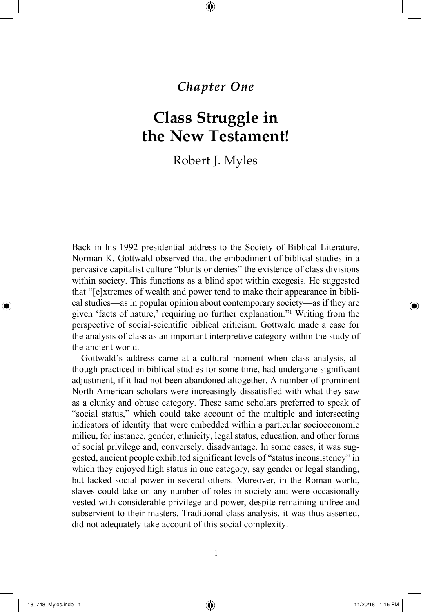# **Class Struggle in the New Testament!**

## Robert J. Myles

Back in his 1992 presidential address to the Society of Biblical Literature, Norman K. Gottwald observed that the embodiment of biblical studies in a pervasive capitalist culture "blunts or denies" the existence of class divisions within society. This functions as a blind spot within exegesis. He suggested that "[e]xtremes of wealth and power tend to make their appearance in biblical studies—as in popular opinion about contemporary society—as if they are given 'facts of nature,' requiring no further explanation."1 Writing from the perspective of social-scientific biblical criticism, Gottwald made a case for the analysis of class as an important interpretive category within the study of the ancient world.

Gottwald's address came at a cultural moment when class analysis, although practiced in biblical studies for some time, had undergone significant adjustment, if it had not been abandoned altogether. A number of prominent North American scholars were increasingly dissatisfied with what they saw as a clunky and obtuse category. These same scholars preferred to speak of "social status," which could take account of the multiple and intersecting indicators of identity that were embedded within a particular socioeconomic milieu, for instance, gender, ethnicity, legal status, education, and other forms of social privilege and, conversely, disadvantage. In some cases, it was suggested, ancient people exhibited significant levels of "status inconsistency" in which they enjoyed high status in one category, say gender or legal standing, but lacked social power in several others. Moreover, in the Roman world, slaves could take on any number of roles in society and were occasionally vested with considerable privilege and power, despite remaining unfree and subservient to their masters. Traditional class analysis, it was thus asserted, did not adequately take account of this social complexity.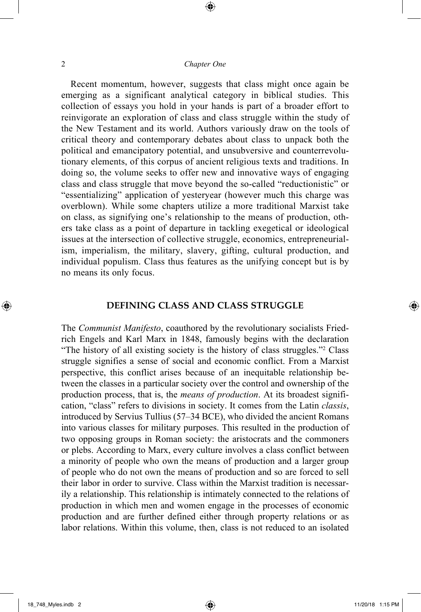Recent momentum, however, suggests that class might once again be emerging as a significant analytical category in biblical studies. This collection of essays you hold in your hands is part of a broader effort to reinvigorate an exploration of class and class struggle within the study of the New Testament and its world. Authors variously draw on the tools of critical theory and contemporary debates about class to unpack both the political and emancipatory potential, and unsubversive and counterrevolutionary elements, of this corpus of ancient religious texts and traditions. In doing so, the volume seeks to offer new and innovative ways of engaging class and class struggle that move beyond the so-called "reductionistic" or "essentializing" application of yesteryear (however much this charge was overblown). While some chapters utilize a more traditional Marxist take on class, as signifying one's relationship to the means of production, others take class as a point of departure in tackling exegetical or ideological issues at the intersection of collective struggle, economics, entrepreneurialism, imperialism, the military, slavery, gifting, cultural production, and individual populism. Class thus features as the unifying concept but is by no means its only focus.

## **DEFINING CLASS AND CLASS STRUGGLE**

The *Communist Manifesto*, coauthored by the revolutionary socialists Friedrich Engels and Karl Marx in 1848, famously begins with the declaration "The history of all existing society is the history of class struggles."<sup>2</sup> Class struggle signifies a sense of social and economic conflict. From a Marxist perspective, this conflict arises because of an inequitable relationship between the classes in a particular society over the control and ownership of the production process, that is, the *means of production*. At its broadest signification, "class" refers to divisions in society. It comes from the Latin *classis*, introduced by Servius Tullius (57–34 BCE), who divided the ancient Romans into various classes for military purposes. This resulted in the production of two opposing groups in Roman society: the aristocrats and the commoners or plebs. According to Marx, every culture involves a class conflict between a minority of people who own the means of production and a larger group of people who do not own the means of production and so are forced to sell their labor in order to survive. Class within the Marxist tradition is necessarily a relationship. This relationship is intimately connected to the relations of production in which men and women engage in the processes of economic production and are further defined either through property relations or as labor relations. Within this volume, then, class is not reduced to an isolated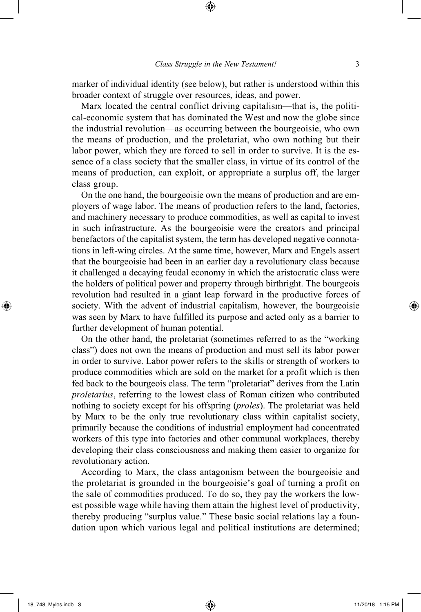marker of individual identity (see below), but rather is understood within this broader context of struggle over resources, ideas, and power.

Marx located the central conflict driving capitalism—that is, the political-economic system that has dominated the West and now the globe since the industrial revolution—as occurring between the bourgeoisie, who own the means of production, and the proletariat, who own nothing but their labor power, which they are forced to sell in order to survive. It is the essence of a class society that the smaller class, in virtue of its control of the means of production, can exploit, or appropriate a surplus off, the larger class group.

On the one hand, the bourgeoisie own the means of production and are employers of wage labor. The means of production refers to the land, factories, and machinery necessary to produce commodities, as well as capital to invest in such infrastructure. As the bourgeoisie were the creators and principal benefactors of the capitalist system, the term has developed negative connotations in left-wing circles. At the same time, however, Marx and Engels assert that the bourgeoisie had been in an earlier day a revolutionary class because it challenged a decaying feudal economy in which the aristocratic class were the holders of political power and property through birthright. The bourgeois revolution had resulted in a giant leap forward in the productive forces of society. With the advent of industrial capitalism, however, the bourgeoisie was seen by Marx to have fulfilled its purpose and acted only as a barrier to further development of human potential.

On the other hand, the proletariat (sometimes referred to as the "working class") does not own the means of production and must sell its labor power in order to survive. Labor power refers to the skills or strength of workers to produce commodities which are sold on the market for a profit which is then fed back to the bourgeois class. The term "proletariat" derives from the Latin *proletarius*, referring to the lowest class of Roman citizen who contributed nothing to society except for his offspring (*proles*). The proletariat was held by Marx to be the only true revolutionary class within capitalist society, primarily because the conditions of industrial employment had concentrated workers of this type into factories and other communal workplaces, thereby developing their class consciousness and making them easier to organize for revolutionary action.

According to Marx, the class antagonism between the bourgeoisie and the proletariat is grounded in the bourgeoisie's goal of turning a profit on the sale of commodities produced. To do so, they pay the workers the lowest possible wage while having them attain the highest level of productivity, thereby producing "surplus value." These basic social relations lay a foundation upon which various legal and political institutions are determined;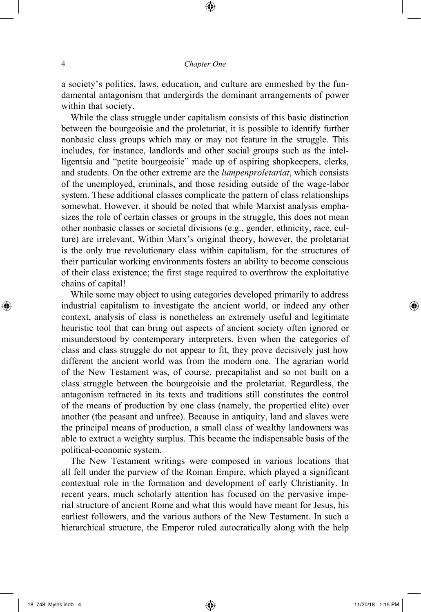a society's politics, laws, education, and culture are enmeshed by the fundamental antagonism that undergirds the dominant arrangements of power within that society.

While the class struggle under capitalism consists of this basic distinction between the bourgeoisie and the proletariat, it is possible to identify further nonbasic class groups which may or may not feature in the struggle. This includes, for instance, landlords and other social groups such as the intelligentsia and "petite bourgeoisie" made up of aspiring shopkeepers, clerks, and students. On the other extreme are the *lumpenproletariat*, which consists of the unemployed, criminals, and those residing outside of the wage-labor system. These additional classes complicate the pattern of class relationships somewhat. However, it should be noted that while Marxist analysis emphasizes the role of certain classes or groups in the struggle, this does not mean other nonbasic classes or societal divisions (e.g., gender, ethnicity, race, culture) are irrelevant. Within Marx's original theory, however, the proletariat is the only true revolutionary class within capitalism, for the structures of their particular working environments fosters an ability to become conscious of their class existence; the first stage required to overthrow the exploitative chains of capital!

While some may object to using categories developed primarily to address industrial capitalism to investigate the ancient world, or indeed any other context, analysis of class is nonetheless an extremely useful and legitimate heuristic tool that can bring out aspects of ancient society often ignored or misunderstood by contemporary interpreters. Even when the categories of class and class struggle do not appear to fit, they prove decisively just how different the ancient world was from the modern one. The agrarian world of the New Testament was, of course, precapitalist and so not built on a class struggle between the bourgeoisie and the proletariat. Regardless, the antagonism refracted in its texts and traditions still constitutes the control of the means of production by one class (namely, the propertied elite) over another (the peasant and unfree). Because in antiquity, land and slaves were the principal means of production, a small class of wealthy landowners was able to extract a weighty surplus. This became the indispensable basis of the political-economic system.

The New Testament writings were composed in various locations that all fell under the purview of the Roman Empire, which played a significant contextual role in the formation and development of early Christianity. In recent years, much scholarly attention has focused on the pervasive imperial structure of ancient Rome and what this would have meant for Jesus, his earliest followers, and the various authors of the New Testament. In such a hierarchical structure, the Emperor ruled autocratically along with the help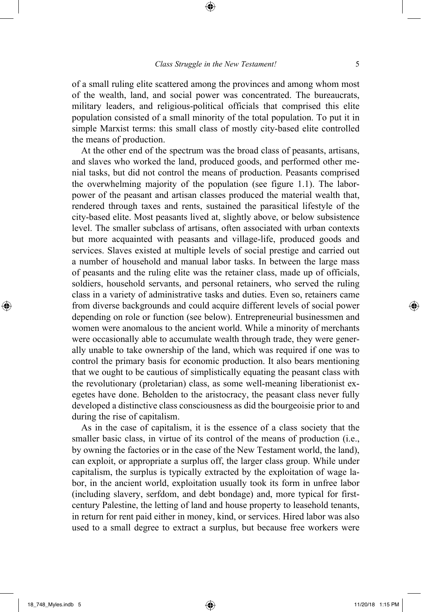of a small ruling elite scattered among the provinces and among whom most of the wealth, land, and social power was concentrated. The bureaucrats, military leaders, and religious-political officials that comprised this elite population consisted of a small minority of the total population. To put it in simple Marxist terms: this small class of mostly city-based elite controlled the means of production.

At the other end of the spectrum was the broad class of peasants, artisans, and slaves who worked the land, produced goods, and performed other menial tasks, but did not control the means of production. Peasants comprised the overwhelming majority of the population (see figure 1.1). The laborpower of the peasant and artisan classes produced the material wealth that, rendered through taxes and rents, sustained the parasitical lifestyle of the city-based elite. Most peasants lived at, slightly above, or below subsistence level. The smaller subclass of artisans, often associated with urban contexts but more acquainted with peasants and village-life, produced goods and services. Slaves existed at multiple levels of social prestige and carried out a number of household and manual labor tasks. In between the large mass of peasants and the ruling elite was the retainer class, made up of officials, soldiers, household servants, and personal retainers, who served the ruling class in a variety of administrative tasks and duties. Even so, retainers came from diverse backgrounds and could acquire different levels of social power depending on role or function (see below). Entrepreneurial businessmen and women were anomalous to the ancient world. While a minority of merchants were occasionally able to accumulate wealth through trade, they were generally unable to take ownership of the land, which was required if one was to control the primary basis for economic production. It also bears mentioning that we ought to be cautious of simplistically equating the peasant class with the revolutionary (proletarian) class, as some well-meaning liberationist exegetes have done. Beholden to the aristocracy, the peasant class never fully developed a distinctive class consciousness as did the bourgeoisie prior to and during the rise of capitalism.

As in the case of capitalism, it is the essence of a class society that the smaller basic class, in virtue of its control of the means of production (i.e., by owning the factories or in the case of the New Testament world, the land), can exploit, or appropriate a surplus off, the larger class group. While under capitalism, the surplus is typically extracted by the exploitation of wage labor, in the ancient world, exploitation usually took its form in unfree labor (including slavery, serfdom, and debt bondage) and, more typical for firstcentury Palestine, the letting of land and house property to leasehold tenants, in return for rent paid either in money, kind, or services. Hired labor was also used to a small degree to extract a surplus, but because free workers were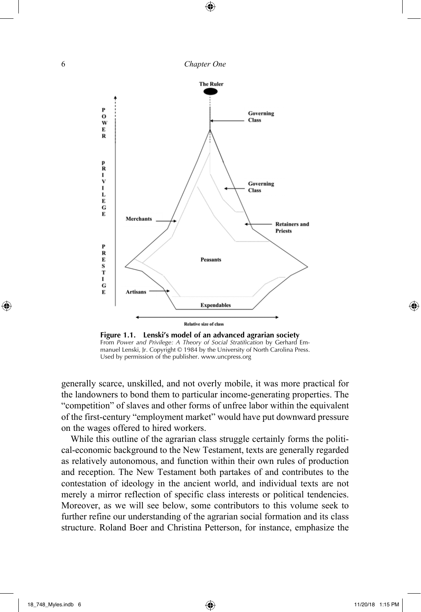

**Figure 1.1. Lenski's model of an advanced agrarian society** From *Power and Privilege: A Theory of Social Stratification* by Gerhard Emmanuel Lenski, Jr. Copyright © 1984 by the University of North Carolina Press. Used by permission of the publisher. www.uncpress.org

generally scarce, unskilled, and not overly mobile, it was more practical for the landowners to bond them to particular income-generating properties. The "competition" of slaves and other forms of unfree labor within the equivalent of the first-century "employment market" would have put downward pressure on the wages offered to hired workers.

While this outline of the agrarian class struggle certainly forms the political-economic background to the New Testament, texts are generally regarded as relatively autonomous, and function within their own rules of production and reception. The New Testament both partakes of and contributes to the contestation of ideology in the ancient world, and individual texts are not merely a mirror reflection of specific class interests or political tendencies. Moreover, as we will see below, some contributors to this volume seek to further refine our understanding of the agrarian social formation and its class structure. Roland Boer and Christina Petterson, for instance, emphasize the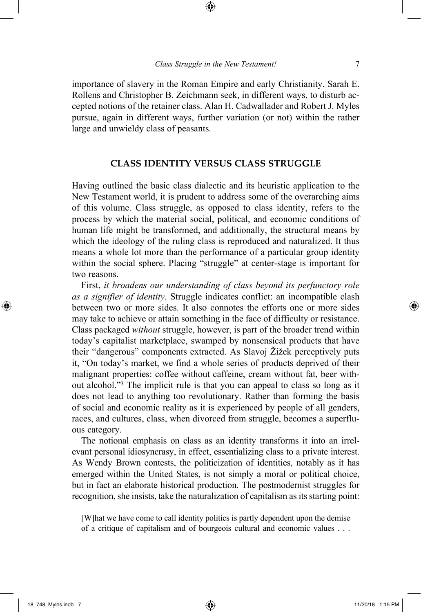importance of slavery in the Roman Empire and early Christianity. Sarah E. Rollens and Christopher B. Zeichmann seek, in different ways, to disturb accepted notions of the retainer class. Alan H. Cadwallader and Robert J. Myles pursue, again in different ways, further variation (or not) within the rather large and unwieldy class of peasants.

## **CLASS IDENTITY VERSUS CLASS STRUGGLE**

Having outlined the basic class dialectic and its heuristic application to the New Testament world, it is prudent to address some of the overarching aims of this volume. Class struggle, as opposed to class identity, refers to the process by which the material social, political, and economic conditions of human life might be transformed, and additionally, the structural means by which the ideology of the ruling class is reproduced and naturalized. It thus means a whole lot more than the performance of a particular group identity within the social sphere. Placing "struggle" at center-stage is important for two reasons.

First, *it broadens our understanding of class beyond its perfunctory role as a signifier of identity*. Struggle indicates conflict: an incompatible clash between two or more sides. It also connotes the efforts one or more sides may take to achieve or attain something in the face of difficulty or resistance. Class packaged *without* struggle, however, is part of the broader trend within today's capitalist marketplace, swamped by nonsensical products that have their "dangerous" components extracted. As Slavoj Žižek perceptively puts it, "On today's market, we find a whole series of products deprived of their malignant properties: coffee without caffeine, cream without fat, beer without alcohol."3 The implicit rule is that you can appeal to class so long as it does not lead to anything too revolutionary. Rather than forming the basis of social and economic reality as it is experienced by people of all genders, races, and cultures, class, when divorced from struggle, becomes a superfluous category.

The notional emphasis on class as an identity transforms it into an irrelevant personal idiosyncrasy, in effect, essentializing class to a private interest. As Wendy Brown contests, the politicization of identities, notably as it has emerged within the United States, is not simply a moral or political choice, but in fact an elaborate historical production. The postmodernist struggles for recognition, she insists, take the naturalization of capitalism as its starting point:

[W]hat we have come to call identity politics is partly dependent upon the demise of a critique of capitalism and of bourgeois cultural and economic values . . .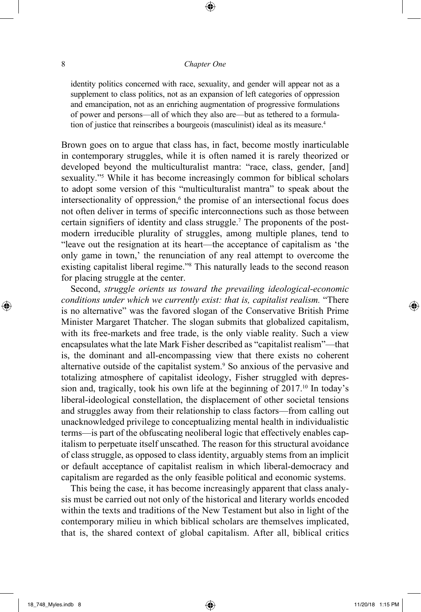identity politics concerned with race, sexuality, and gender will appear not as a supplement to class politics, not as an expansion of left categories of oppression and emancipation, not as an enriching augmentation of progressive formulations of power and persons—all of which they also are—but as tethered to a formulation of justice that reinscribes a bourgeois (masculinist) ideal as its measure.<sup>4</sup>

Brown goes on to argue that class has, in fact, become mostly inarticulable in contemporary struggles, while it is often named it is rarely theorized or developed beyond the multiculturalist mantra: "race, class, gender, [and] sexuality."<sup>5</sup> While it has become increasingly common for biblical scholars to adopt some version of this "multiculturalist mantra" to speak about the intersectionality of oppression,<sup>6</sup> the promise of an intersectional focus does not often deliver in terms of specific interconnections such as those between certain signifiers of identity and class struggle.7 The proponents of the postmodern irreducible plurality of struggles, among multiple planes, tend to "leave out the resignation at its heart—the acceptance of capitalism as 'the only game in town,' the renunciation of any real attempt to overcome the existing capitalist liberal regime."8 This naturally leads to the second reason for placing struggle at the center.

Second, *struggle orients us toward the prevailing ideological-economic conditions under which we currently exist: that is, capitalist realism.* "There is no alternative" was the favored slogan of the Conservative British Prime Minister Margaret Thatcher. The slogan submits that globalized capitalism, with its free-markets and free trade, is the only viable reality. Such a view encapsulates what the late Mark Fisher described as "capitalist realism"—that is, the dominant and all-encompassing view that there exists no coherent alternative outside of the capitalist system.<sup>9</sup> So anxious of the pervasive and totalizing atmosphere of capitalist ideology, Fisher struggled with depression and, tragically, took his own life at the beginning of 2017.10 In today's liberal-ideological constellation, the displacement of other societal tensions and struggles away from their relationship to class factors—from calling out unacknowledged privilege to conceptualizing mental health in individualistic terms—is part of the obfuscating neoliberal logic that effectively enables capitalism to perpetuate itself unscathed. The reason for this structural avoidance of class struggle, as opposed to class identity, arguably stems from an implicit or default acceptance of capitalist realism in which liberal-democracy and capitalism are regarded as the only feasible political and economic systems.

This being the case, it has become increasingly apparent that class analysis must be carried out not only of the historical and literary worlds encoded within the texts and traditions of the New Testament but also in light of the contemporary milieu in which biblical scholars are themselves implicated, that is, the shared context of global capitalism. After all, biblical critics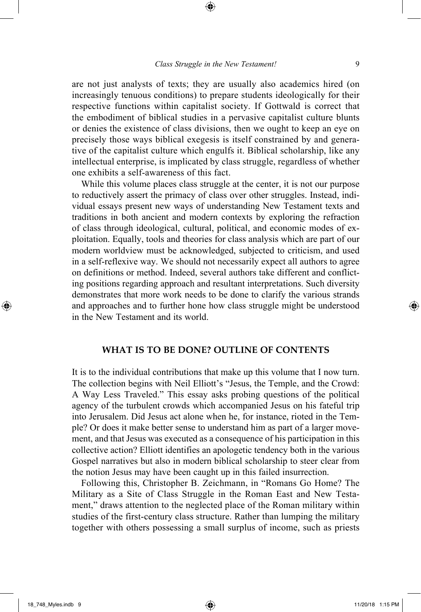are not just analysts of texts; they are usually also academics hired (on increasingly tenuous conditions) to prepare students ideologically for their respective functions within capitalist society. If Gottwald is correct that the embodiment of biblical studies in a pervasive capitalist culture blunts or denies the existence of class divisions, then we ought to keep an eye on precisely those ways biblical exegesis is itself constrained by and generative of the capitalist culture which engulfs it. Biblical scholarship, like any intellectual enterprise, is implicated by class struggle, regardless of whether one exhibits a self-awareness of this fact.

While this volume places class struggle at the center, it is not our purpose to reductively assert the primacy of class over other struggles. Instead, individual essays present new ways of understanding New Testament texts and traditions in both ancient and modern contexts by exploring the refraction of class through ideological, cultural, political, and economic modes of exploitation. Equally, tools and theories for class analysis which are part of our modern worldview must be acknowledged, subjected to criticism, and used in a self-reflexive way. We should not necessarily expect all authors to agree on definitions or method. Indeed, several authors take different and conflicting positions regarding approach and resultant interpretations. Such diversity demonstrates that more work needs to be done to clarify the various strands and approaches and to further hone how class struggle might be understood in the New Testament and its world.

## **WHAT IS TO BE DONE? OUTLINE OF CONTENTS**

It is to the individual contributions that make up this volume that I now turn. The collection begins with Neil Elliott's "Jesus, the Temple, and the Crowd: A Way Less Traveled." This essay asks probing questions of the political agency of the turbulent crowds which accompanied Jesus on his fateful trip into Jerusalem. Did Jesus act alone when he, for instance, rioted in the Temple? Or does it make better sense to understand him as part of a larger movement, and that Jesus was executed as a consequence of his participation in this collective action? Elliott identifies an apologetic tendency both in the various Gospel narratives but also in modern biblical scholarship to steer clear from the notion Jesus may have been caught up in this failed insurrection.

Following this, Christopher B. Zeichmann, in "Romans Go Home? The Military as a Site of Class Struggle in the Roman East and New Testament," draws attention to the neglected place of the Roman military within studies of the first-century class structure. Rather than lumping the military together with others possessing a small surplus of income, such as priests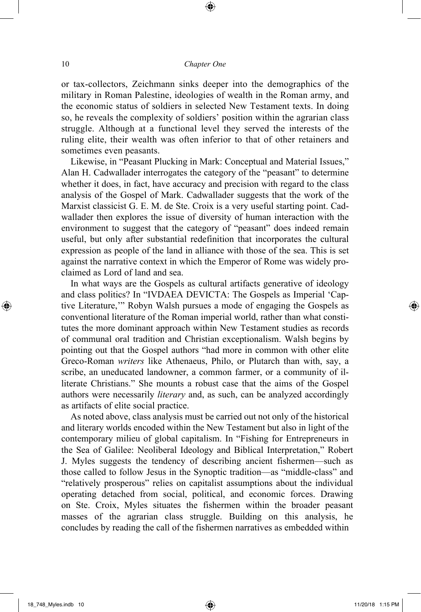or tax-collectors, Zeichmann sinks deeper into the demographics of the military in Roman Palestine, ideologies of wealth in the Roman army, and the economic status of soldiers in selected New Testament texts. In doing so, he reveals the complexity of soldiers' position within the agrarian class struggle. Although at a functional level they served the interests of the ruling elite, their wealth was often inferior to that of other retainers and sometimes even peasants.

Likewise, in "Peasant Plucking in Mark: Conceptual and Material Issues," Alan H. Cadwallader interrogates the category of the "peasant" to determine whether it does, in fact, have accuracy and precision with regard to the class analysis of the Gospel of Mark. Cadwallader suggests that the work of the Marxist classicist G. E. M. de Ste. Croix is a very useful starting point. Cadwallader then explores the issue of diversity of human interaction with the environment to suggest that the category of "peasant" does indeed remain useful, but only after substantial redefinition that incorporates the cultural expression as people of the land in alliance with those of the sea. This is set against the narrative context in which the Emperor of Rome was widely proclaimed as Lord of land and sea.

In what ways are the Gospels as cultural artifacts generative of ideology and class politics? In "IVDAEA DEVICTA: The Gospels as Imperial 'Captive Literature,'" Robyn Walsh pursues a mode of engaging the Gospels as conventional literature of the Roman imperial world, rather than what constitutes the more dominant approach within New Testament studies as records of communal oral tradition and Christian exceptionalism. Walsh begins by pointing out that the Gospel authors "had more in common with other elite Greco-Roman *writers* like Athenaeus, Philo, or Plutarch than with, say, a scribe, an uneducated landowner, a common farmer, or a community of illiterate Christians." She mounts a robust case that the aims of the Gospel authors were necessarily *literary* and, as such, can be analyzed accordingly as artifacts of elite social practice.

As noted above, class analysis must be carried out not only of the historical and literary worlds encoded within the New Testament but also in light of the contemporary milieu of global capitalism. In "Fishing for Entrepreneurs in the Sea of Galilee: Neoliberal Ideology and Biblical Interpretation," Robert J. Myles suggests the tendency of describing ancient fishermen—such as those called to follow Jesus in the Synoptic tradition—as "middle-class" and "relatively prosperous" relies on capitalist assumptions about the individual operating detached from social, political, and economic forces. Drawing on Ste. Croix, Myles situates the fishermen within the broader peasant masses of the agrarian class struggle. Building on this analysis, he concludes by reading the call of the fishermen narratives as embedded within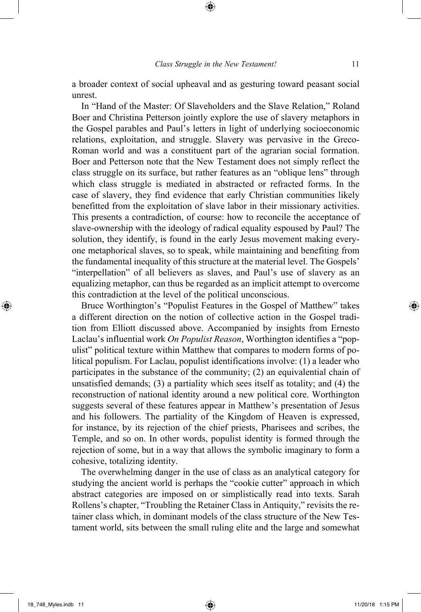a broader context of social upheaval and as gesturing toward peasant social unrest.

In "Hand of the Master: Of Slaveholders and the Slave Relation," Roland Boer and Christina Petterson jointly explore the use of slavery metaphors in the Gospel parables and Paul's letters in light of underlying socioeconomic relations, exploitation, and struggle. Slavery was pervasive in the Greco-Roman world and was a constituent part of the agrarian social formation. Boer and Petterson note that the New Testament does not simply reflect the class struggle on its surface, but rather features as an "oblique lens" through which class struggle is mediated in abstracted or refracted forms. In the case of slavery, they find evidence that early Christian communities likely benefitted from the exploitation of slave labor in their missionary activities. This presents a contradiction, of course: how to reconcile the acceptance of slave-ownership with the ideology of radical equality espoused by Paul? The solution, they identify, is found in the early Jesus movement making everyone metaphorical slaves, so to speak, while maintaining and benefiting from the fundamental inequality of this structure at the material level. The Gospels' "interpellation" of all believers as slaves, and Paul's use of slavery as an equalizing metaphor, can thus be regarded as an implicit attempt to overcome this contradiction at the level of the political unconscious.

Bruce Worthington's "Populist Features in the Gospel of Matthew" takes a different direction on the notion of collective action in the Gospel tradition from Elliott discussed above. Accompanied by insights from Ernesto Laclau's influential work *On Populist Reason*, Worthington identifies a "populist" political texture within Matthew that compares to modern forms of political populism. For Laclau, populist identifications involve: (1) a leader who participates in the substance of the community; (2) an equivalential chain of unsatisfied demands; (3) a partiality which sees itself as totality; and (4) the reconstruction of national identity around a new political core. Worthington suggests several of these features appear in Matthew's presentation of Jesus and his followers. The partiality of the Kingdom of Heaven is expressed, for instance, by its rejection of the chief priests, Pharisees and scribes, the Temple, and so on. In other words, populist identity is formed through the rejection of some, but in a way that allows the symbolic imaginary to form a cohesive, totalizing identity.

The overwhelming danger in the use of class as an analytical category for studying the ancient world is perhaps the "cookie cutter" approach in which abstract categories are imposed on or simplistically read into texts. Sarah Rollens's chapter, "Troubling the Retainer Class in Antiquity," revisits the retainer class which, in dominant models of the class structure of the New Testament world, sits between the small ruling elite and the large and somewhat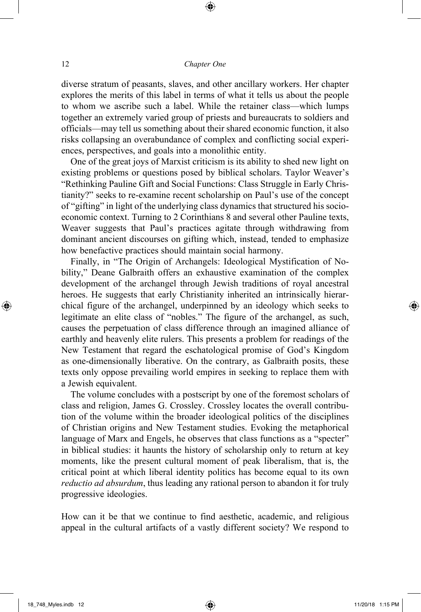diverse stratum of peasants, slaves, and other ancillary workers. Her chapter explores the merits of this label in terms of what it tells us about the people to whom we ascribe such a label. While the retainer class—which lumps together an extremely varied group of priests and bureaucrats to soldiers and officials—may tell us something about their shared economic function, it also risks collapsing an overabundance of complex and conflicting social experiences, perspectives, and goals into a monolithic entity.

One of the great joys of Marxist criticism is its ability to shed new light on existing problems or questions posed by biblical scholars. Taylor Weaver's "Rethinking Pauline Gift and Social Functions: Class Struggle in Early Christianity?" seeks to re-examine recent scholarship on Paul's use of the concept of "gifting" in light of the underlying class dynamics that structured his socioeconomic context. Turning to 2 Corinthians 8 and several other Pauline texts, Weaver suggests that Paul's practices agitate through withdrawing from dominant ancient discourses on gifting which, instead, tended to emphasize how benefactive practices should maintain social harmony.

Finally, in "The Origin of Archangels: Ideological Mystification of Nobility," Deane Galbraith offers an exhaustive examination of the complex development of the archangel through Jewish traditions of royal ancestral heroes. He suggests that early Christianity inherited an intrinsically hierarchical figure of the archangel, underpinned by an ideology which seeks to legitimate an elite class of "nobles." The figure of the archangel, as such, causes the perpetuation of class difference through an imagined alliance of earthly and heavenly elite rulers. This presents a problem for readings of the New Testament that regard the eschatological promise of God's Kingdom as one-dimensionally liberative. On the contrary, as Galbraith posits, these texts only oppose prevailing world empires in seeking to replace them with a Jewish equivalent.

The volume concludes with a postscript by one of the foremost scholars of class and religion, James G. Crossley. Crossley locates the overall contribution of the volume within the broader ideological politics of the disciplines of Christian origins and New Testament studies. Evoking the metaphorical language of Marx and Engels, he observes that class functions as a "specter" in biblical studies: it haunts the history of scholarship only to return at key moments, like the present cultural moment of peak liberalism, that is, the critical point at which liberal identity politics has become equal to its own *reductio ad absurdum*, thus leading any rational person to abandon it for truly progressive ideologies.

How can it be that we continue to find aesthetic, academic, and religious appeal in the cultural artifacts of a vastly different society? We respond to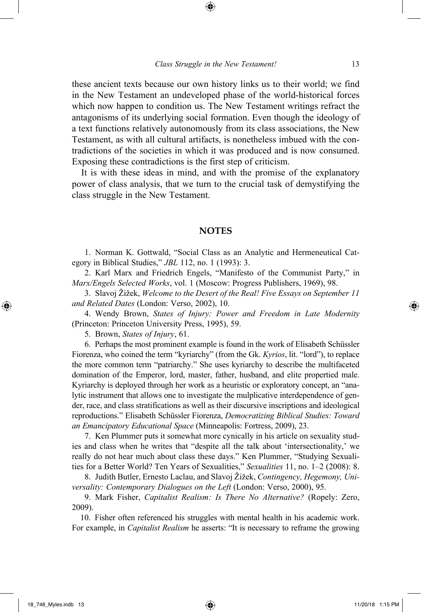these ancient texts because our own history links us to their world; we find in the New Testament an undeveloped phase of the world-historical forces which now happen to condition us. The New Testament writings refract the antagonisms of its underlying social formation. Even though the ideology of a text functions relatively autonomously from its class associations, the New Testament, as with all cultural artifacts, is nonetheless imbued with the contradictions of the societies in which it was produced and is now consumed. Exposing these contradictions is the first step of criticism.

It is with these ideas in mind, and with the promise of the explanatory power of class analysis, that we turn to the crucial task of demystifying the class struggle in the New Testament.

### **NOTES**

1. Norman K. Gottwald, "Social Class as an Analytic and Hermeneutical Category in Biblical Studies," *JBL* 112, no. 1 (1993): 3.

2. Karl Marx and Friedrich Engels, "Manifesto of the Communist Party," in *Marx/Engels Selected Works*, vol. 1 (Moscow: Progress Publishers, 1969), 98.

3. Slavoj Žižek, *Welcome to the Desert of the Real! Five Essays on September 11 and Related Dates* (London: Verso, 2002), 10.

4. Wendy Brown, *States of Injury: Power and Freedom in Late Modernity* (Princeton: Princeton University Press, 1995), 59.

5. Brown, *States of Injury*, 61.

6. Perhaps the most prominent example is found in the work of Elisabeth Schüssler Fiorenza, who coined the term "kyriarchy" (from the Gk. *Kyrios*, lit. "lord"), to replace the more common term "patriarchy." She uses kyriarchy to describe the multifaceted domination of the Emperor, lord, master, father, husband, and elite propertied male. Kyriarchy is deployed through her work as a heuristic or exploratory concept, an "analytic instrument that allows one to investigate the mulplicative interdependence of gender, race, and class stratifications as well as their discursive inscriptions and ideological reproductions." Elisabeth Schüssler Fiorenza, *Democratizing Biblical Studies: Toward an Emancipatory Educational Space* (Minneapolis: Fortress, 2009), 23.

7. Ken Plummer puts it somewhat more cynically in his article on sexuality studies and class when he writes that "despite all the talk about 'intersectionality,' we really do not hear much about class these days." Ken Plummer, "Studying Sexualities for a Better World? Ten Years of Sexualities," *Sexualities* 11, no. 1–2 (2008): 8.

8. Judith Butler, Ernesto Laclau, and Slavoj Žižek, *Contingency, Hegemony, Universality: Contemporary Dialogues on the Left* (London: Verso, 2000), 95.

9. Mark Fisher, *Capitalist Realism: Is There No Alternative?* (Ropely: Zero, 2009).

10. Fisher often referenced his struggles with mental health in his academic work. For example, in *Capitalist Realism* he asserts: "It is necessary to reframe the growing